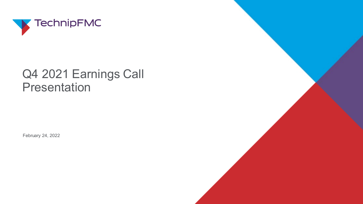

# Q4 2021 Earnings Call Presentation

February 24, 2022

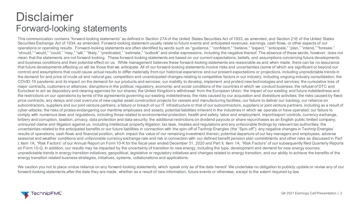#### **Disclaimer** Forward-looking statements

This communication contains "forward-looking statements" as defined in Section 27A of the United States Securities Act of 1933, as amended, and Section 21E of the United States Securities Exchange Act of 1934, as amended. Forward-looking statement usually relate to future events and anticipated revenues, earnings, cash flows, or other aspects of our operations or operating results. Forward-looking statements are often identified by words such as "guidance," "confident," "believe," "expect," "anticipate," "plan," "intend," "foresee," "should," "would," "could," "may," "will," "likely," "predicated," "estimate," "outlook" and similar expressions, including the negative thereof. The absence of these words, however, does not mean that the statements are not forward-looking. These forward-looking statements are based on our current expectations, beliefs, and assumptions concerning future developments and business conditions and their potential effect on us. While management believes these forward-looking statements are reasonable as and when made, there can be no assurance that future developments affecting us will be those that we anticipate. All of our forward-looking statements involve risks and uncertainties (some of which are significant or beyond our control) and assumptions that could cause actual results to differ materially from our historical experience and our present expectations or projections, including unpredictable trends in the demand for and price of crude oil and natural gas; competition and unanticipated changes relating to competitive factors in our industry, including ongoing industry consolidation; the COVID-19 pandemic and its impact on the demand for our products and services; our inability to develop, implement and protect new technologies and services; the cumulative loss of major contracts, customers or alliances; disruptions in the political, regulatory, economic and social conditions of the countries in which we conduct business; the refusal of DTC and Euroclear to act as depository and clearing agencies for our shares; the United Kingdom's withdrawal from the European Union; the impact of our existing and future indebtedness and the restrictions on our operations by terms of the agreements governing our existing indebtedness; the risks caused by our acquisition and divestiture activities; the risks caused by fixedprice contracts; any delays and cost overruns of new capital asset construction projects for vessels and manufacturing facilities; our failure to deliver our backlog; our reliance on subcontractors, suppliers and our joint venture partners; a failure or breach of our IT infrastructure or that of our subcontractors, suppliers or joint venture partners, including as a result of cyber-attacks; the risks of pirates endangering our maritime employees and assets; potential liabilities inherent in the industries in which we operate or have operated; our failure to comply with numerous laws and regulations, including those related to environmental protection, health and safety, labor and employment, import/export controls, currency exchange, bribery and corruption, taxation, privacy, data protection and data security; the additional restrictions on dividend payouts or share repurchases as an English public limited company; uninsured claims and litigation against us, including intellectual property litigation; tax laws, treaties and regulations and any unfavorable findings by relevant tax authorities; the uncertainties related to the anticipated benefits or our future liabilities in connection with the spin-off of Technip Energies (the "Spin-off"); any negative changes in Technip Energies' results of operations, cash flows and financial position, which impact the value of our remaining investment therein; potential departure of our key managers and employees; adverse seasonal and weather conditions and unfavorable currency exchange rate and risk in connection with our defined benefit pension plan commitments and other risks as discussed in Part I, Item 1A, "Risk Factors" of our Annual Report on Form 10-K for the fiscal year ended December 31, 2020 and Part II, Item 1A, "Risk Factors" of our subsequently filed Quarterly Reports on Form 10-Q. In addition, our results may be impacted by the uncertainty of transition to new energy, including the type, development and demand for new energy sources; unpredictable trends in energy transition initiatives; geopolitical, legislative or regulatory initiatives and changes related to energy transition; and our ability to achieve the benefits of the energy transition related business strategies, initiatives, systems, collaborations and applications.

We caution you not to place undue reliance on any forward-looking statements, which speak only as of the date hereof. We undertake no obligation to publicly update or revise any of our forward-looking statements after the date they are made, whether as a result of new information, future events or otherwise, except to the extent required by law.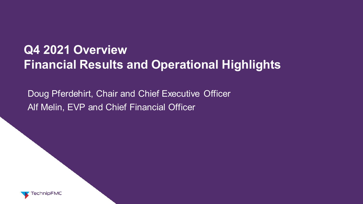# **Q4 2021 Overview Financial Results and Operational Highlights**

Doug Pferdehirt, Chair and Chief Executive Officer Alf Melin, EVP and Chief Financial Officer

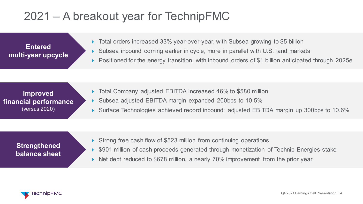# 2021 – A breakout year for TechnipFMC

**Entered multi-year upcycle**

- ▶ Total orders increased 33% year-over-year, with Subsea growing to \$5 billion Subsea inbound coming earlier in cycle, more in parallel with U.S. land markets
- Positioned for the energy transition, with inbound orders of \$1 billion anticipated through 2025e

**Improved financial performance** (versus 2020)

- Total Company adjusted EBITDA increased 46% to \$580 million
- Subsea adjusted EBITDA margin expanded 200bps to 10.5%
- ▶ Surface Technologies achieved record inbound; adjusted EBITDA margin up 300bps to 10.6%

#### **Strengthened balance sheet**

- Strong free cash flow of \$523 million from continuing operations
- \$901 million of cash proceeds generated through monetization of Technip Energies stake
- ▶ Net debt reduced to \$678 million, a nearly 70% improvement from the prior year

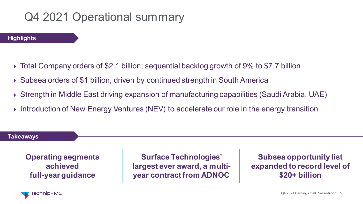# Q4 2021 Operational summary



- Total Company orders of \$2.1 billion; sequential backlog growth of 9% to \$7.7 billion
- ▶ Subsea orders of \$1 billion, driven by continued strength in South America
- Strength in Middle East driving expansion of manufacturing capabilities (Saudi Arabia, UAE)
- **Introduction of New Energy Ventures (NEV) to accelerate our role in the energy transition**

#### **Takeaways**

**Operating segments achieved full-year guidance**

**Surface Technologies' largest ever award, a multiyear contract from ADNOC**

**Subsea opportunity list expanded to record level of \$20+ billion**

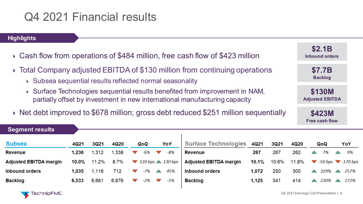## Q4 2021 Financial results



- Cash flow from operations of \$484 million, free cash flow of \$423 million
- Total Company adjusted EBITDA of \$130 million from continuing operations
	- Subsea sequential results reflected normal seasonality
	- Surface Technologies sequential results benefited from improvement in NAM, partially offset by investment in new international manufacturing capacity
- ▶ Net debt improved to \$678 million; gross debt reduced \$251 million sequentially

| <u>Segmen</u> t results |          |             |       |                                                  |     |                               |       |       |       |   |                                                            |                    |      |
|-------------------------|----------|-------------|-------|--------------------------------------------------|-----|-------------------------------|-------|-------|-------|---|------------------------------------------------------------|--------------------|------|
| Subsea                  | 4Q21     | <b>3Q21</b> | 4Q20  | QoQ                                              | YoY | <b>Surface Technologies</b>   | 4Q21  | 3Q21  | 4Q20  |   | QoQ                                                        | YoY                |      |
| Revenue                 | 1.236    | 1,312       | .338  | -6%                                              | -8% | <b>Revenue</b>                | 287   | 267   | 262   | △ | 7%                                                         | $\curvearrowright$ | 9%   |
| Adjusted EBITDA margin  | $10.0\%$ | 11.2%       | 8.7%  | $\blacktriangledown$ 120 bps $\triangle$ 130 bps |     | <b>Adjusted EBITDA margin</b> | 10.1% | 10.6% | 11.8% |   | $\blacktriangledown$ -50 bps $\blacktriangledown$ -170 bps |                    |      |
| <b>Inbound orders</b>   | 1.035    | 1.116       | 712   | -7%<br>$\sim$                                    | 45% | Inbound orders                | 1,072 | 250   | 300   | △ | 329%                                                       | $\curvearrowright$ | 257% |
| Backlog                 | 6,533    | 6,661       | 6,876 | $-2\%$<br>$\sim$                                 | -5% | <b>Backlog</b>                | 1,125 | 341   | 414   | △ | 230%                                                       |                    | 172% |
|                         |          |             |       |                                                  |     |                               |       |       |       |   |                                                            |                    |      |

**\$2.1B Inbound orders**

> **\$7.7B Backlog**

**\$130M Adjusted EBITDA**

**\$423M Free cash flow**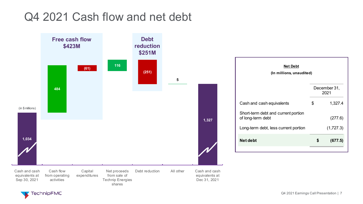### Q4 2021 Cash flow and net debt



|    | December 31,<br>2021     |
|----|--------------------------|
| \$ | 1,327.4                  |
|    | (277.6)                  |
|    | (1,727.3)                |
| S  | (677.5)                  |
|    | (In millions, unaudited) |

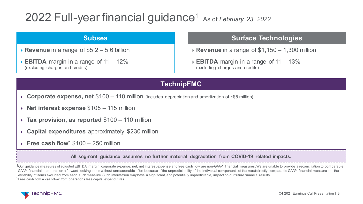## 2022 Full-year financial guidance1 As of *February 23, 2022*

#### **Subsea**

- **Revenue** in a range of \$5.2 5.6 billion
- **EBITDA** margin in a range of 11 12% (excluding charges and credits)

#### **Surface Technologies**

**Revenue** in a range of \$1,150 – 1,300 million

**EBITDA** margin in a range of 11 – 13% (excluding charges and credits)

#### **TechnipFMC**

- **Corporate expense, net** \$100 110 million (includes depreciation and amortization of ~\$5 million)
- **Net interest expense** \$105 115 million
- **Tax provision, as reported** \$100 110 million
- **Capital expenditures** approximately \$230 million
- **Free cash flow**<sup>2</sup> \$100 250 million

**All segment guidance assumes no further material degradation from COVID-19 related impacts.** 

 $1$ Our guidance measures of adjusted EBITDA margin, corporate expense, net, net interest expense and free cash flow are non-GAAP financial measures. We are unable to provide a reconciliation to comparable GAAP financial measures on a forward-looking basis without unreasonable effort because of the unpredictability of the individual components of the most directly comparable GAAP financial measure and the variability of items excluded from each such measure. Such information may have a significant, and potentially unpredictable, impact on our future financial results. <sup>2</sup>Free cash flow = cash flow from operations less capital expenditures

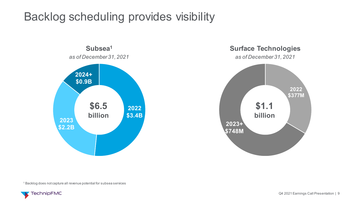# Backlog scheduling provides visibility





<sup>1</sup> Backlog does not capture all revenue potential for subsea services

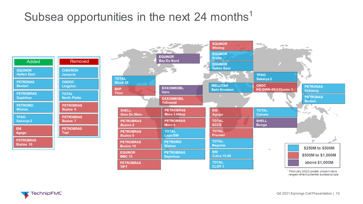## Subsea opportunities in the next 24 months<sup>1</sup>

Added **PETROBRAS Buzios 10 EQUINOR Halten East TPAO Sakarya 2 PETROBRAS Sapinhoa PETRORIO Wahoo ENI Agogo PETRONAS Bestari** Removed **PETROBRAS Buzios 6 PETROBRAS Buzios 7 PETROBRAS Tupi CNOOC Lingshui CHEVRON Jansz-Io TOTAL North Platte** 



<sup>1</sup> February 2022 update; project value ranges reflect potential subsea scope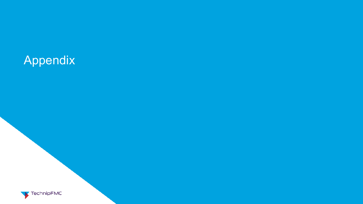# Appendix

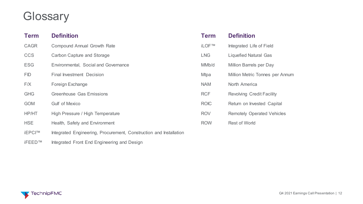## **Glossary**

| <b>Term</b>   | <b>Definition</b>                                                  | <b>Term</b>  | <b>Definition</b>                 |
|---------------|--------------------------------------------------------------------|--------------|-----------------------------------|
| <b>CAGR</b>   | <b>Compound Annual Growth Rate</b>                                 | <b>iLOF™</b> | Integrated Life of Field          |
| <b>CCS</b>    | <b>Carbon Capture and Storage</b>                                  | <b>LNG</b>   | <b>Liquefied Natural Gas</b>      |
| <b>ESG</b>    | Environmental, Social and Governance                               | MMb/d        | <b>Million Barrels per Day</b>    |
| <b>FID</b>    | <b>Final Investment Decision</b>                                   | <b>Mtpa</b>  | Million Metric Tonnes per Annum   |
| F/X           | Foreign Exchange                                                   | <b>NAM</b>   | North America                     |
| <b>GHG</b>    | <b>Greenhouse Gas Emissions</b>                                    | <b>RCF</b>   | <b>Revolving Credit Facility</b>  |
| <b>GOM</b>    | <b>Gulf of Mexico</b>                                              | <b>ROIC</b>  | Return on Invested Capital        |
| HP/HT         | High Pressure / High Temperature                                   | <b>ROV</b>   | <b>Remotely Operated Vehicles</b> |
| <b>HSE</b>    | Health, Safety and Environment                                     | <b>ROW</b>   | <b>Rest of World</b>              |
| <b>İEPCI™</b> | Integrated Engineering, Procurement, Construction and Installation |              |                                   |

iFEED™ Integrated Front End Engineering and Design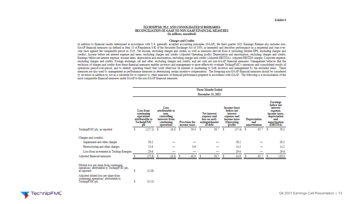#### TECHNIPFMC PLC AND CONSOLIDATED SUBSIDIARIES RECONCILIATION OF GAAP TO NON-GAAP FINANCIAL MEASURES (In millions, unaudited)

#### **Charges and Credits**

In addition to financial results determined in accordance with U.S. generally accepted accounting principles (GAAP), the third quarter 2021 Earnings Release also includes non-GAAP financial measures (as defined in Item 10 of Regulation S-K of the Securities Exchange Act of 1934, as amended) and describes performance on a sequential and year-overyear basis against the comparable period in 2020. Net income, excluding charges and credits, as well as measures derived from it (including Diluted EPS, excluding charges and credits); Income before net interest expense and taxes, excluding charges and credits (Adjusted Operating profit); Depreciation and amortization, excluding charges and credits; Earnings before net interest expense, income taxes, depreciation and amortization, excluding charges and credits (Adjusted EBITDA); Adjusted EBITDA margin; Corporate expense, excluding charges and credits; Foreign exchange, net and other, excluding charges and credits; and net cash are non-GAAP financial measures. Management believes that the exclusion of charges and credits from these financial measures enables investors and management to more effectively evaluate TechnipFMC's operations and consolidated results of operations period-over-period, and to identify operating trends that could otherwise be masked or misleading to both investors and management by the excluded items. These measures are also used by management as performance measures in determining certain incentive compensation. The foregoing non-GAAP financial measures should be considered by investors in addition to, not as a substitute for or superior to, other measures of financial performance prepared in accordance with GAAP. The following is a reconciliation of the most comparable financial measures under GAAP to the non-GAAP financial measures.

|                                                                                                              |    |                                                                                      |   |                                                                                              |   |                                      |   | <b>Three Months Ended</b>                                                        |   |                                                                                                                      |                                     |      |                                                                                                                           |       |
|--------------------------------------------------------------------------------------------------------------|----|--------------------------------------------------------------------------------------|---|----------------------------------------------------------------------------------------------|---|--------------------------------------|---|----------------------------------------------------------------------------------|---|----------------------------------------------------------------------------------------------------------------------|-------------------------------------|------|---------------------------------------------------------------------------------------------------------------------------|-------|
|                                                                                                              |    |                                                                                      |   |                                                                                              |   |                                      |   | December 31, 2021                                                                |   |                                                                                                                      |                                     |      |                                                                                                                           |       |
|                                                                                                              |    | <b>Loss from</b><br>continuing<br>operations<br>attributable to<br>TechnipFMC<br>pIc |   | Loss<br>attributable to<br>non-<br>controlling<br>interests from<br>continuing<br>operations |   | <b>Provision for</b><br>income taxes |   | <b>Net interest</b><br>expense and<br>loss on early<br>extinguishment<br>of debt |   | Income (loss)<br>before net<br>interest<br>expense and<br>income taxes<br>(Operating<br>$\hat{\mathbf{pr}}$ ofit $)$ | Depreciation<br>and<br>amortization |      | <b>Earnings</b><br>before net<br>interest<br>expense,<br>income taxes.<br>depreciation<br>and<br>amortization<br>(EBITDA) |       |
| TechnipFMC plc, as reported                                                                                  | \$ | $(127.2)$ \$                                                                         |   | (6.3)                                                                                        | s | 39.4                                 | s | 56.7                                                                             | s | (37.4)                                                                                                               | s                                   | 95.7 | Ŝ                                                                                                                         | 58.3  |
| Charges and (credits):                                                                                       |    |                                                                                      |   |                                                                                              |   |                                      |   |                                                                                  |   |                                                                                                                      |                                     |      |                                                                                                                           |       |
| Impairment and other charges                                                                                 |    | 28.2                                                                                 |   |                                                                                              |   |                                      |   |                                                                                  |   | 28.2                                                                                                                 |                                     |      |                                                                                                                           | 28.2  |
| Restructuring and other charges                                                                              |    | 13.6                                                                                 |   |                                                                                              |   | 0.6                                  |   |                                                                                  |   | 14.2                                                                                                                 |                                     |      |                                                                                                                           | 14.2  |
| Loss from investment in Technip Energies                                                                     |    | 29.6                                                                                 |   |                                                                                              |   |                                      |   |                                                                                  |   | 29.6                                                                                                                 |                                     |      |                                                                                                                           | 29.6  |
| Adjusted financial measures                                                                                  |    | (55.8)                                                                               | s | (6.3)                                                                                        | s | 40.0                                 | s | 56.7                                                                             |   | 34.6                                                                                                                 | s                                   | 95.7 |                                                                                                                           | 130.3 |
| Diluted loss per share from continuing<br>operations attributable to TechnipFMC plc.<br>as reported          | Ś  | (0.28)                                                                               |   |                                                                                              |   |                                      |   |                                                                                  |   |                                                                                                                      |                                     |      |                                                                                                                           |       |
| Adjusted diluted loss per share from<br>continuing operations <sup>3</sup> attributable to<br>TechnipFMC plc | \$ | (0.12)                                                                               |   |                                                                                              |   |                                      |   |                                                                                  |   |                                                                                                                      |                                     |      |                                                                                                                           |       |

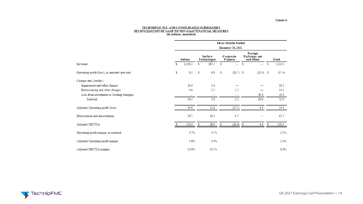#### TECHNIPFMC PLC AND CONSOLIDATED SUBSIDIARIES<br>RECONCILIATION OF GAAP TO NON-GAAP FINANCIAL MEASURES<br>(In millions, unaudited)

|                                                |     | <b>Three Months Ended</b> |    |                                       |    |                             |   |                                       |      |              |  |  |  |  |
|------------------------------------------------|-----|---------------------------|----|---------------------------------------|----|-----------------------------|---|---------------------------------------|------|--------------|--|--|--|--|
|                                                |     |                           |    |                                       |    | December 31, 2021           |   |                                       |      |              |  |  |  |  |
|                                                |     | <b>Subsea</b>             |    | <b>Surface</b><br><b>Technologies</b> |    | Corporate<br><b>Expense</b> |   | Foreign<br>Exchange, net<br>and Other |      | <b>Total</b> |  |  |  |  |
| Revenue                                        | \$. | 1,236.2                   | s  | 287.1                                 | s  | $\equiv$                    | S |                                       | s    | 1,523.3      |  |  |  |  |
| Operating profit (loss), as reported (pre-tax) | \$  | 8.5                       | \$ | 8.8                                   | \$ | $(29.7)$ \$                 |   | $(25.0)$ \$                           |      | (37.4)       |  |  |  |  |
| Charges and (credits):                         |     |                           |    |                                       |    |                             |   |                                       |      |              |  |  |  |  |
| Impairment and other charges                   |     | 26.6                      |    | 1.6                                   |    |                             |   |                                       |      | 28.2         |  |  |  |  |
| Restructuring and other charges                |     | 9.8                       |    | 2.2                                   |    | 2.2                         |   |                                       |      | 14.2         |  |  |  |  |
| Loss from investment in Technip Energies       |     | -                         |    | –                                     |    |                             |   | 29.6                                  |      | 29.6         |  |  |  |  |
| Subtotal                                       |     | 36.4                      |    | 3.8                                   |    | 2.2                         |   | 29.6                                  |      | 72.0         |  |  |  |  |
| Adjusted Operating profit (loss)               |     | 44.9                      |    | 12.6                                  |    | (27.5)                      |   | 4.6                                   |      | 34.6         |  |  |  |  |
| Depreciation and amortization                  |     | 78.7                      |    | 16.3                                  |    | 0.7                         |   |                                       |      | 95.7         |  |  |  |  |
| Adjusted EBITDA                                |     | 123.6                     | s  | 28.9                                  | s  | $(26.8)$ \$                 |   | 4.6                                   | - \$ | 130.3        |  |  |  |  |
| Operating profit margin, as reported           |     | 0.7%                      |    | 3.1%                                  |    |                             |   |                                       |      | $-2.5%$      |  |  |  |  |
| Adjusted Operating profit margin               |     | 3.6%                      |    | 4.4%                                  |    |                             |   |                                       |      | 2.3%         |  |  |  |  |
| Adjusted EBITDA margin                         |     | 10.0%                     |    | 10.1%                                 |    |                             |   |                                       |      | 8.6%         |  |  |  |  |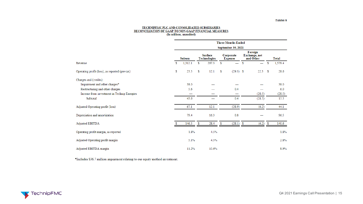#### TECHNIPFMC PLC AND CONSOLIDATED SUBSIDIARIES<br>RECONCILIATION OF GAAP TO NON-GAAP FINANCIAL MEASURES<br>(In millions, unaudited)

|                                                |    |                    |    |                                       |                             | <b>Three Months Ended</b> |   |                                       |    |              |  |  |
|------------------------------------------------|----|--------------------|----|---------------------------------------|-----------------------------|---------------------------|---|---------------------------------------|----|--------------|--|--|
|                                                |    | September 30, 2021 |    |                                       |                             |                           |   |                                       |    |              |  |  |
|                                                |    | Subsea             |    | <b>Surface</b><br><b>Technologies</b> | Corporate<br><b>Expense</b> |                           |   | Foreign<br>Exchange, net<br>and Other |    | <b>Total</b> |  |  |
| Revenue                                        | s  | 1,312.1            | s. | 267.3                                 | s                           |                           | S | —                                     | S  | 1,579.4      |  |  |
| Operating profit (loss), as reported (pre-tax) | \$ | 23.5               | S  | 12.1                                  | S                           | $(29.3)$ \$               |   | 22.3                                  | S  | 28.6         |  |  |
| Charges and (credits):                         |    |                    |    |                                       |                             |                           |   |                                       |    |              |  |  |
| Impairment and other charges*                  |    | 38.0               |    |                                       |                             |                           |   |                                       |    | 38.0         |  |  |
| Restructuring and other charges                |    | 5.6                |    |                                       |                             | 0.4                       |   |                                       |    | 6.0          |  |  |
| Income from investment in Technip Energies     |    | —                  |    |                                       |                             | $\overline{\phantom{0}}$  |   | (28.5)                                |    | (28.5)       |  |  |
| Subtotal                                       |    | 43.6               |    |                                       |                             | 0.4                       |   | (28.5)                                |    | 15.5         |  |  |
| Adjusted Operating profit (loss)               |    | 67.1               |    | 12.1                                  |                             | (28.9)                    |   | (6.2)                                 |    | 44.1         |  |  |
| Depreciation and amortization                  |    | 79.4               |    | 16.3                                  |                             | 0.8                       |   |                                       |    | 96.5         |  |  |
| Adjusted EBITDA                                | S  | 146.5              | S  | 28.4                                  | S                           | $(28.1)$ \$               |   | (6.2)                                 | S. | 140.6        |  |  |
| Operating profit margin, as reported           |    | 1.8%               |    | 4.5%                                  |                             |                           |   |                                       |    | 1.8%         |  |  |
| Adjusted Operating profit margin               |    | 5.1%               |    | 4.5%                                  |                             |                           |   |                                       |    | 2.8%         |  |  |
| Adjusted EBITDA margin                         |    | 11.2%              |    | 10.6%                                 |                             |                           |   |                                       |    | 8.9%         |  |  |

\*Includes \$36.7 million impairment relating to our equity method investment.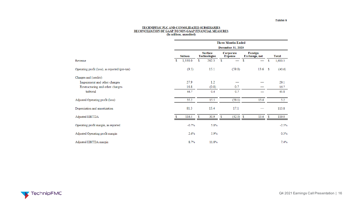#### TECHNIPFMC PLC AND CONSOLIDATED SUBSIDIARIES<br>RECONCILIATION OF GAAP TO NON-GAAP FINANCIAL MEASURES<br>(In millions, unaudited)

|                                                |     |               |                                       |       | <b>Three Months Ended</b>     |                          |           |    |              |
|------------------------------------------------|-----|---------------|---------------------------------------|-------|-------------------------------|--------------------------|-----------|----|--------------|
|                                                |     |               |                                       |       | <b>December 31, 2020</b>      |                          |           |    |              |
|                                                |     | <b>Subsea</b> | <b>Surface</b><br><b>Technologies</b> |       | Corporate<br><b>Expense</b>   | Foreign<br>Exchange, net |           |    | <b>Total</b> |
| Revenue                                        | S   | 1,338.0       | S.                                    | 262.3 | S<br>$\overline{\phantom{0}}$ | \$                       |           | S  | 1,600.3      |
| Operating profit (loss), as reported (pre-tax) |     | (9.5)         |                                       | 15.1  | (59.8)                        |                          | $13.6$ \$ |    | (40.6)       |
| Charges and (credits):                         |     |               |                                       |       |                               |                          |           |    |              |
| Impairment and other charges                   |     | 27.9          |                                       | 1.2   |                               |                          |           |    | 29.1         |
| Restructuring and other charges                |     | 16.8          |                                       | (0.8) | 0.7                           |                          |           |    | 16.7         |
| Subtotal                                       |     | 44.7          |                                       | 0.4   | 0.7                           |                          |           |    | 45.8         |
| Adjusted Operating profit (loss)               |     | 35.2          |                                       | 15.5  | (59.1)                        |                          | 13.6      |    | 5.2          |
| Depreciation and amortization                  |     | 81.3          |                                       | 15.4  | 17.1                          |                          |           |    | 113.8        |
| Adjusted EBITDA                                | \$. | 116.5         | S                                     | 30.9  | \$<br>$(42.0)$ \$             |                          | 13.6      | -S | 119.0        |
| Operating profit margin, as reported           |     | $-0.7%$       |                                       | 5.8%  |                               |                          |           |    | $-2.5%$      |
| Adjusted Operating profit margin               |     | 2.6%          |                                       | 5.9%  |                               |                          |           |    | 0.3%         |
| Adjusted EBITDA margin                         |     | 8.7%          |                                       | 11.8% |                               |                          |           |    | 7.4%         |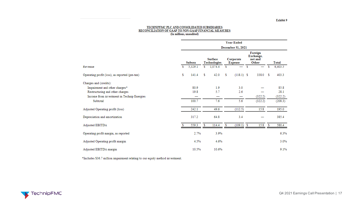#### TECHNIPFMC PLC AND CONSOLIDATED SUBSIDIARIES<br>RECONCILIATION OF GAAP TO NON-GAAP FINANCIAL MEASURES (In millions, unaudited)

|                                                |    |         |    |                                |   | <b>Year Ended</b>           |                                          |         |    |              |
|------------------------------------------------|----|---------|----|--------------------------------|---|-----------------------------|------------------------------------------|---------|----|--------------|
|                                                |    |         |    |                                |   | December 31, 2021           |                                          |         |    |              |
|                                                |    | Subsea  |    | <b>Surface</b><br>Technologies |   | Corporate<br><b>Expense</b> | Foreign<br>Exchange,<br>net and<br>Other |         |    | <b>Total</b> |
| Revenue                                        | s  | 5,329.1 | S. | 1,074.4                        | s |                             | s                                        |         | \$ | 6,403.5      |
| Operating profit (loss), as reported (pre-tax) | s  | 141.4   | s  | 42.0                           | s | $(118.1)$ \$                |                                          | 338.0 S |    | 403.3        |
| Charges and (credits):                         |    |         |    |                                |   |                             |                                          |         |    |              |
| Impairment and other charges*                  |    | 80.9    |    | 1.9                            |   | 3.0                         |                                          |         |    | 85.8         |
| Restructuring and other charges                |    | 19.8    |    | 5.7                            |   | 2.6                         |                                          |         |    | 28.1         |
| Income from investment in Technip Energies     |    |         |    |                                |   | —                           |                                          | (322.2) |    | (322.2)      |
| <b>Subtotal</b>                                |    | 100.7   |    | 7.6                            |   | 5.6                         |                                          | (322.2) |    | (208.3)      |
| Adjusted Operating profit (loss)               |    | 242.1   |    | 49.6                           |   | (112.5)                     |                                          | 15.8    |    | 195.0        |
| Depreciation and amortization                  |    | 317.2   |    | 64.8                           |   | 3.4                         |                                          |         |    | 385.4        |
| Adjusted EBITDA                                | Я. | 559.3   | s  | 114.4                          | s | $(109.1)$ \$                |                                          | 15.8    | s  | 580.4        |
| Operating profit margin, as reported           |    | 2.7%    |    | 3.9%                           |   |                             |                                          |         |    | 6.3%         |
| Adjusted Operating profit margin               |    | 4.5%    |    | 4.6%                           |   |                             |                                          |         |    | 3.0%         |
| Adjusted EBITDA margin                         |    | 10.5%   |    | 10.6%                          |   |                             |                                          |         |    | 9.1%         |

\*Includes \$36.7 million impairment relating to our equity method investment.

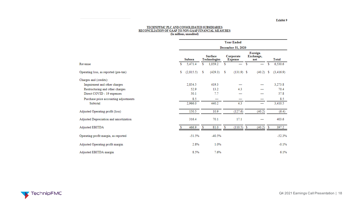#### TECHNIPFMC PLC AND CONSOLIDATED SUBSIDIARIES<br>RECONCILIATION OF GAAP TO NON-GAAP FINANCIAL MEASURES (In millions, unaudited)

|                                        |                  |                                |                          | <b>Year Ended</b>        |                                       |              |
|----------------------------------------|------------------|--------------------------------|--------------------------|--------------------------|---------------------------------------|--------------|
|                                        |                  |                                |                          | December 31, 2020        |                                       |              |
|                                        | Subsea           | <b>Surface</b><br>Technologies |                          | Corporate<br>Expense     | Foreign<br>Exchange,<br>net           | <b>Total</b> |
| Revenue                                | 5,471.4<br>S.    | S.                             | $1,059.2$ \$             | $\overline{\phantom{0}}$ | $\sim$ \$<br>$\overline{\phantom{0}}$ | 6,530.6<br>s |
| Operating loss, as reported (pre-tax)  | \$.<br>(2,815.5) | -S                             | $(429.3)$ \$             | $(131.9)$ \$             | $(40.2)$ \$                           | (3, 416.9)   |
| Charges and (credits):                 |                  |                                |                          |                          |                                       |              |
| Impairment and other charges           | 2,854.5          | 419.3                          |                          |                          |                                       | 3,273.8      |
| Restructuring and other charges        | 52.9             |                                | 13.2                     | 4.3                      |                                       | 70.4         |
| Direct COVID - 19 expenses             | 50.1             |                                | 7.7                      |                          |                                       | 57.8         |
| Purchase price accounting adjustments  | 8.5              |                                | $\overline{\phantom{0}}$ | –                        |                                       | 8.5          |
| <b>Subtotal</b>                        | 2,966.0          | 440.2                          |                          | 4.3                      | –                                     | 3,410.5      |
| Adjusted Operating profit (loss)       | 150.5            |                                | 10.9                     | (127.6)                  | (40.2)                                | (6.4)        |
| Adjusted Depreciation and amortization | 316.4            |                                | 70.1                     | 17.1                     |                                       | 403.6        |
| Adjusted EBITDA                        | 466.9            | -S                             | 81.0<br>- \$             | (110.5) S                | $(40.2)$ \$                           | 397.2        |
| Operating profit margin, as reported   | $-51.5%$         |                                | $-40.5%$                 |                          |                                       | $-52.3%$     |
| Adjusted Operating profit margin       | 2.8%             |                                | 1.0%                     |                          |                                       | $-0.1%$      |
| Adjusted EBITDA margin                 | 8.5%             |                                | 7.6%                     |                          |                                       | 6.1%         |

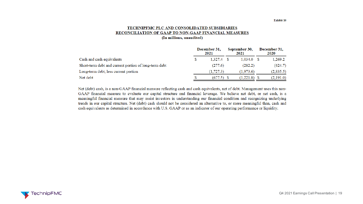#### TECHNIPFMC PLC AND CONSOLIDATED SUBSIDIARIES RECONCILIATION OF GAAP TO NON-GAAP FINANCIAL MEASURES (In millions, unaudited)

|                                                       | December 31,<br>2021 |            |  | September 30,<br>2021 | December 31,<br>2020 |           |  |
|-------------------------------------------------------|----------------------|------------|--|-----------------------|----------------------|-----------|--|
| Cash and cash equivalents                             | S                    | 1.327.4    |  | 1,034.0               |                      | 1,269.2   |  |
| Short-term debt and current portion of long-term debt |                      | (277.6)    |  | (282.2)               |                      | (624.7)   |  |
| Long-term debt, less current portion                  |                      | (1, 727.3) |  | (1.973.6)             |                      | (2,835.5) |  |
| Net debt                                              |                      | (677.5)    |  | $(1,221.8)$ \$        |                      | (2,191.0) |  |

Net (debt) cash, is a non-GAAP financial measure reflecting cash and cash equivalents, net of debt. Management uses this non-GAAP financial measure to evaluate our capital structure and financial leverage. We believe net debt, or net cash, is a meaningful financial measure that may assist investors in understanding our financial condition and recognizing underlying trends in our capital structure. Net (debt) cash should not be considered an alternative to, or more meaningful than, cash and cash equivalents as determined in accordance with U.S. GAAP or as an indicator of our operating performance or liquidity.

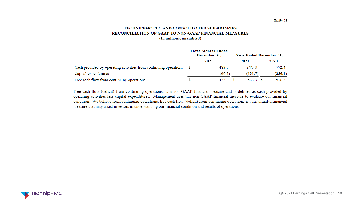#### TECHNIPFMC PLC AND CONSOLIDATED SUBSIDIARIES RECONCILIATION OF GAAP TO NON-GAAP FINANCIAL MEASURES (In millions, unaudited)

|                                                                  | <b>Three Months Ended</b><br>December 31, | Year Ended December 31, |         |
|------------------------------------------------------------------|-------------------------------------------|-------------------------|---------|
|                                                                  | 2021                                      | 2021                    | 2020    |
| Cash provided by operating activities from continuing operations | 483.5<br>- S                              | 715.0                   | 772.4   |
| Capital expenditures                                             | (60.5)                                    | (191.7)                 | (256.1) |
| Free cash flow from continuing operations                        | 423.0                                     | 523.3                   | 516.3   |

Free cash flow (deficit) from continuing operations, is a non-GAAP financial measure and is defined as cash provided by operating activities less capital expenditures. Management uses this non-GAAP financial measure to evaluate our financial condition. We believe from continuing operations, free cash flow (deficit) from continuing operations is a meaningful financial measure that may assist investors in understanding our financial condition and results of operations.